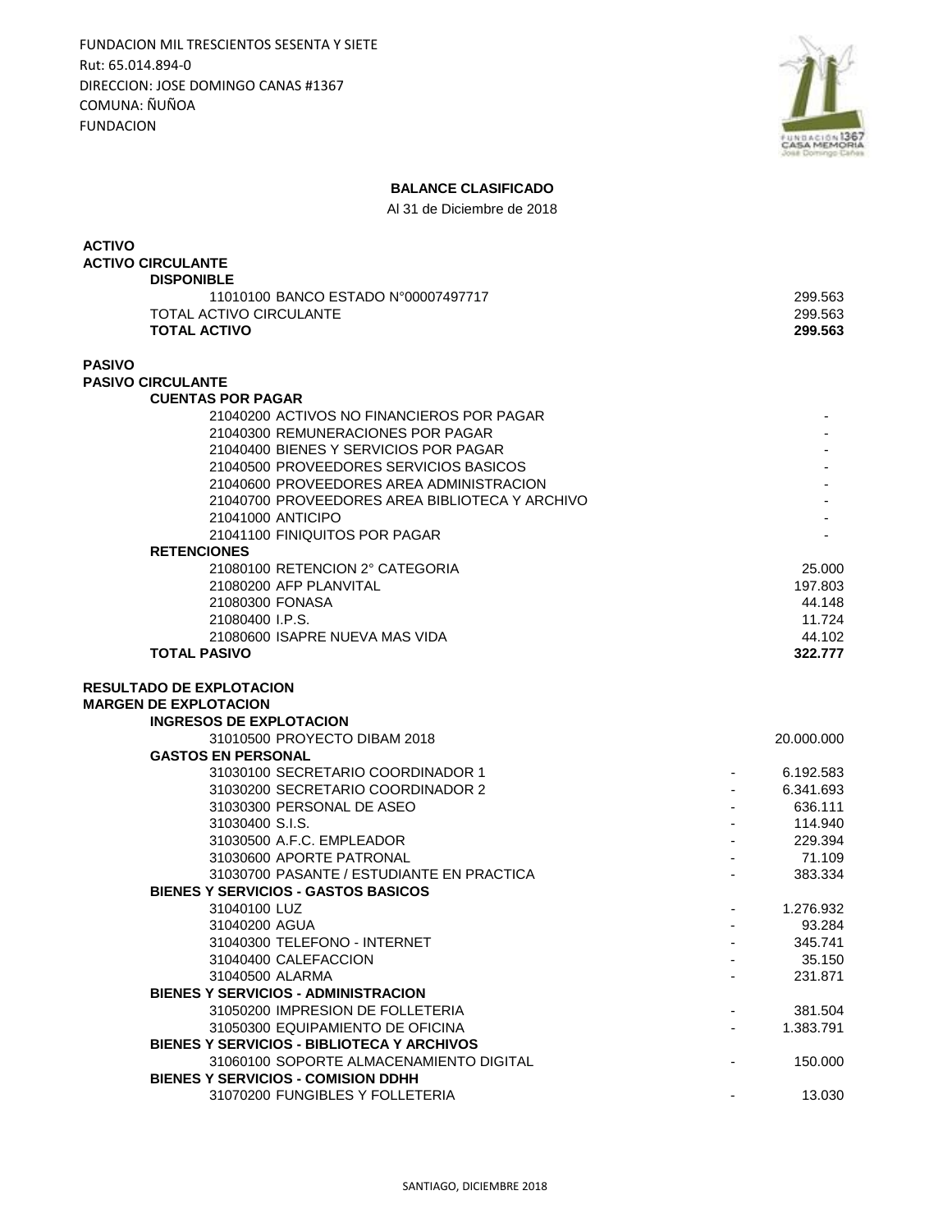FUNDACION MIL TRESCIENTOS SESENTA Y SIETE Rut: 65.014.894-0 DIRECCION: JOSE DOMINGO CANAS #1367 COMUNA: ÑUÑOA FUNDACION



## **BALANCE CLASIFICADO**

Al 31 de Diciembre de 2018

| <b>ACTIVO</b><br><b>ACTIVO CIRCULANTE</b>                                            |                          |                        |
|--------------------------------------------------------------------------------------|--------------------------|------------------------|
| <b>DISPONIBLE</b>                                                                    |                          |                        |
| 11010100 BANCO ESTADO N°00007497717                                                  |                          | 299.563                |
| <b>TOTAL ACTIVO CIRCULANTE</b>                                                       |                          | 299.563                |
| <b>TOTAL ACTIVO</b>                                                                  |                          | 299.563                |
| <b>PASIVO</b>                                                                        |                          |                        |
| <b>PASIVO CIRCULANTE</b>                                                             |                          |                        |
| <b>CUENTAS POR PAGAR</b>                                                             |                          |                        |
| 21040200 ACTIVOS NO FINANCIEROS POR PAGAR                                            |                          |                        |
| 21040300 REMUNERACIONES POR PAGAR<br>21040400 BIENES Y SERVICIOS POR PAGAR           |                          |                        |
| 21040500 PROVEEDORES SERVICIOS BASICOS                                               |                          |                        |
| 21040600 PROVEEDORES AREA ADMINISTRACION                                             |                          |                        |
| 21040700 PROVEEDORES AREA BIBLIOTECA Y ARCHIVO                                       |                          |                        |
| 21041000 ANTICIPO                                                                    |                          |                        |
| 21041100 FINIQUITOS POR PAGAR                                                        |                          |                        |
| <b>RETENCIONES</b>                                                                   |                          |                        |
| 21080100 RETENCION 2° CATEGORIA                                                      |                          | 25.000                 |
| 21080200 AFP PLANVITAL                                                               |                          | 197.803                |
| 21080300 FONASA                                                                      |                          | 44.148                 |
| 21080400 I.P.S.                                                                      |                          | 11.724                 |
| 21080600 ISAPRE NUEVA MAS VIDA                                                       |                          | 44.102                 |
| <b>TOTAL PASIVO</b>                                                                  |                          | 322,777                |
| <b>RESULTADO DE EXPLOTACION</b>                                                      |                          |                        |
| <b>MARGEN DE EXPLOTACION</b>                                                         |                          |                        |
| <b>INGRESOS DE EXPLOTACION</b>                                                       |                          |                        |
| 31010500 PROYECTO DIBAM 2018                                                         |                          | 20.000.000             |
| <b>GASTOS EN PERSONAL</b><br>31030100 SECRETARIO COORDINADOR 1                       |                          |                        |
| 31030200 SECRETARIO COORDINADOR 2                                                    |                          | 6.192.583<br>6.341.693 |
| 31030300 PERSONAL DE ASEO                                                            |                          | 636.111                |
| 31030400 S.I.S.                                                                      |                          | 114.940                |
| 31030500 A.F.C. EMPLEADOR                                                            |                          | 229.394                |
| 31030600 APORTE PATRONAL                                                             |                          | 71.109                 |
| 31030700 PASANTE / ESTUDIANTE EN PRACTICA                                            |                          | 383.334                |
| BIENES Y SERVICIOS - GASTOS BASICOS                                                  |                          |                        |
| 31040100 LUZ                                                                         | $\overline{\phantom{a}}$ | 1.276.932              |
| 31040200 AGUA                                                                        |                          | 93.284                 |
| 31040300 TELEFONO - INTERNET                                                         |                          | 345.741                |
| 31040400 CALEFACCION                                                                 |                          | 35.150                 |
| 31040500 ALARMA                                                                      |                          | 231.871                |
| <b>BIENES Y SERVICIOS - ADMINISTRACION</b>                                           |                          |                        |
| 31050200 IMPRESION DE FOLLETERIA                                                     |                          | 381.504                |
| 31050300 EQUIPAMIENTO DE OFICINA                                                     |                          | 1.383.791              |
| BIENES Y SERVICIOS - BIBLIOTECA Y ARCHIVOS                                           |                          |                        |
| 31060100 SOPORTE ALMACENAMIENTO DIGITAL<br><b>BIENES Y SERVICIOS - COMISION DDHH</b> |                          | 150.000                |
| 31070200 FUNGIBLES Y FOLLETERIA                                                      |                          | 13.030                 |
|                                                                                      |                          |                        |